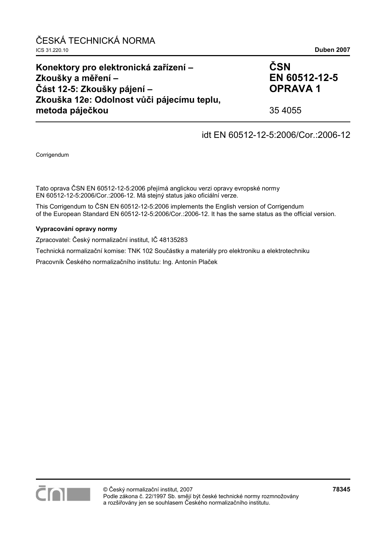#### **Konektory pro elektronická zařízení – Zkoušky a měření – Část 12-5: Zkoušky pájení – Zkouška 12e: Odolnost vůči pájecímu teplu, metoda páječkou ČSN EN 60512-12-5 OPRAVA 1**  35 4055

## idt EN 60512-12-5:2006/Cor.:2006-12

Corrigendum

Tato oprava ČSN EN 60512-12-5:2006 přejímá anglickou verzi opravy evropské normy EN 60512-12-5:2006/Cor.:2006-12. Má stejný status jako oficiální verze.

This Corrigendum to ČSN EN 60512-12-5:2006 implements the English version of Corrigendum of the European Standard EN 60512-12-5:2006/Cor.:2006-12. It has the same status as the official version.

#### **Vypracování opravy normy**

Zpracovatel: Český normalizační institut, IČ 48135283

Technická normalizační komise: TNK 102 Součástky a materiály pro elektroniku a elektrotechniku

Pracovník Českého normalizačního institutu: Ing. Antonín Plaček

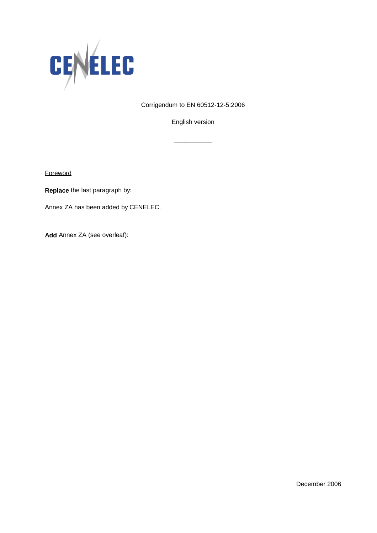

Corrigendum to EN 60512-12-5:2006

English version

\_\_\_\_\_\_\_\_\_\_\_

**Foreword** 

**Replace** the last paragraph by:

Annex ZA has been added by CENELEC.

**Add** Annex ZA (see overleaf):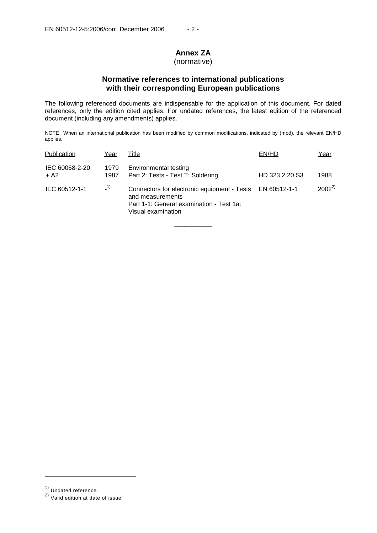# **Annex ZA**

## (normative)

## **Normative references to international publications with their corresponding European publications**

The following referenced documents are indispensable for the application of this document. For dated references, only the edition cited applies. For undated references, the latest edition of the referenced document (including any amendments) applies.

NOTE When an international publication has been modified by common modifications, indicated by (mod), the relevant EN/HD applies.

| Publication              | Year         | Title                                                                                                                                          | EN/HD          | Year       |
|--------------------------|--------------|------------------------------------------------------------------------------------------------------------------------------------------------|----------------|------------|
| IEC 60068-2-20<br>$+ A2$ | 1979<br>1987 | Environmental testing<br>Part 2: Tests - Test T: Soldering                                                                                     | HD 323.2.20 S3 | 1988       |
| IEC 60512-1-1            | $-1)$        | Connectors for electronic equipment - Tests EN 60512-1-1<br>and measurements<br>Part 1-1: General examination - Test 1a:<br>Visual examination |                | $2002^{2}$ |

\_\_\_\_\_\_\_\_\_\_\_

j

<sup>1)</sup> Undated reference.

<sup>2)</sup> Valid edition at date of issue.